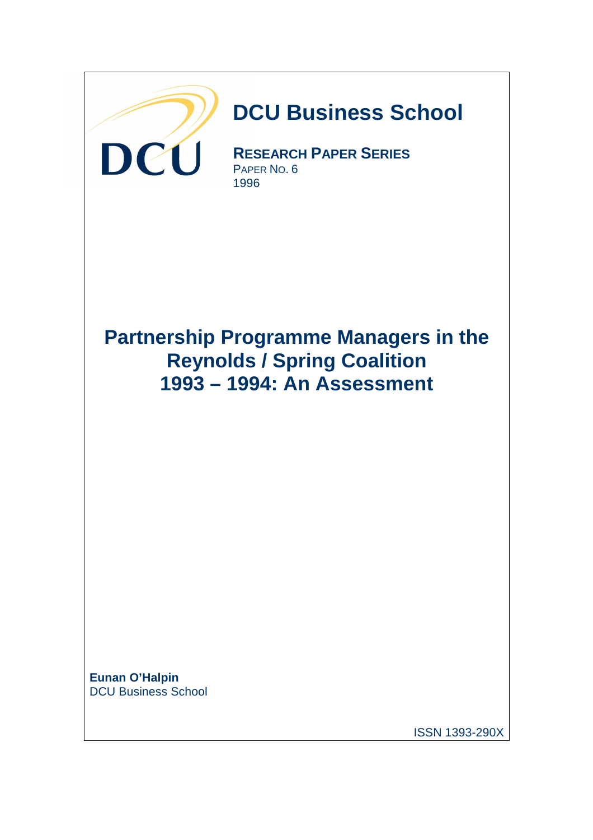

DCU Business School

ISSN 1393-290X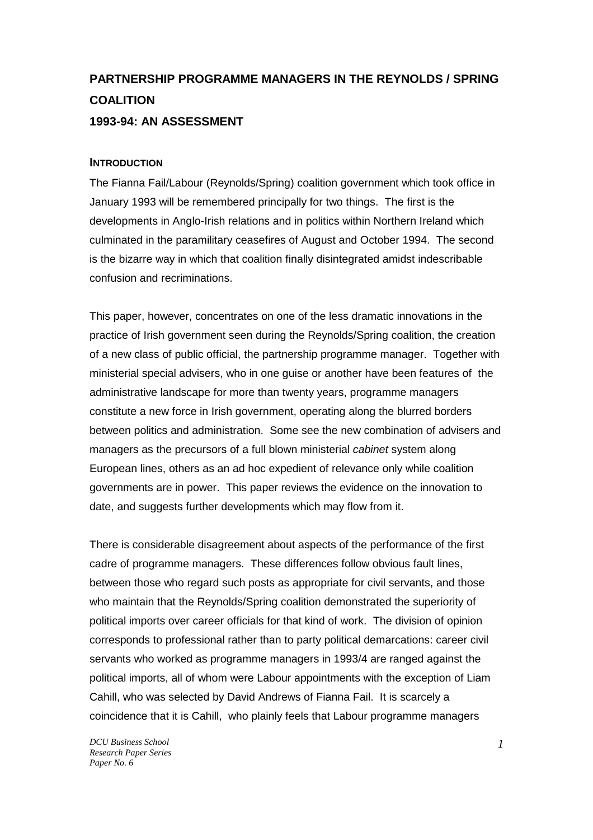# **PARTNERSHIP PROGRAMME MANAGERS IN THE REYNOLDS / SPRING COALITION 1993-94: AN ASSESSMENT**

#### **INTRODUCTION**

The Fianna Fail/Labour (Reynolds/Spring) coalition government which took office in January 1993 will be remembered principally for two things. The first is the developments in Anglo-Irish relations and in politics within Northern Ireland which culminated in the paramilitary ceasefires of August and October 1994. The second is the bizarre way in which that coalition finally disintegrated amidst indescribable confusion and recriminations.

This paper, however, concentrates on one of the less dramatic innovations in the practice of Irish government seen during the Reynolds/Spring coalition, the creation of a new class of public official, the partnership programme manager. Together with ministerial special advisers, who in one guise or another have been features of the administrative landscape for more than twenty years, programme managers constitute a new force in Irish government, operating along the blurred borders between politics and administration. Some see the new combination of advisers and managers as the precursors of a full blown ministerial cabinet system along European lines, others as an ad hoc expedient of relevance only while coalition governments are in power. This paper reviews the evidence on the innovation to date, and suggests further developments which may flow from it.

There is considerable disagreement about aspects of the performance of the first cadre of programme managers. These differences follow obvious fault lines, between those who regard such posts as appropriate for civil servants, and those who maintain that the Reynolds/Spring coalition demonstrated the superiority of political imports over career officials for that kind of work. The division of opinion corresponds to professional rather than to party political demarcations: career civil servants who worked as programme managers in 1993/4 are ranged against the political imports, all of whom were Labour appointments with the exception of Liam Cahill, who was selected by David Andrews of Fianna Fail. It is scarcely a coincidence that it is Cahill, who plainly feels that Labour programme managers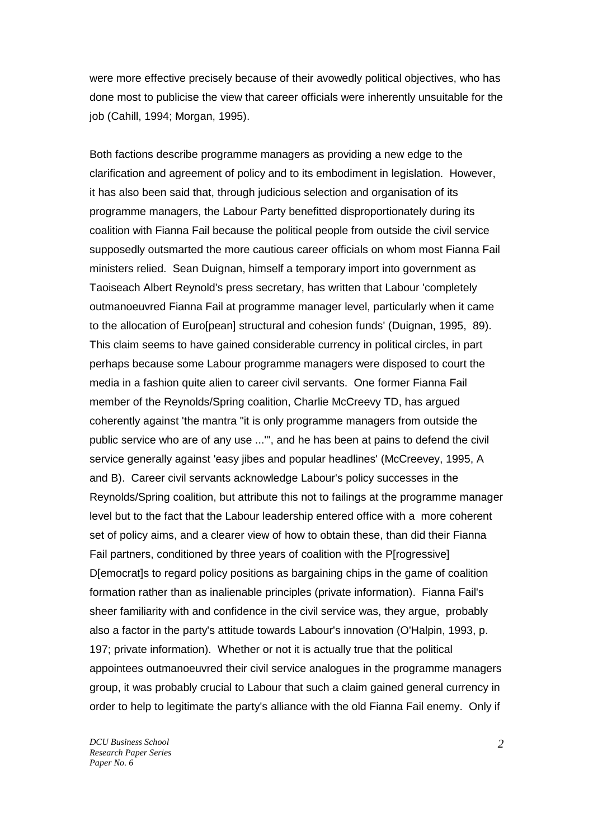were more effective precisely because of their avowedly political objectives, who has done most to publicise the view that career officials were inherently unsuitable for the job (Cahill, 1994; Morgan, 1995).

Both factions describe programme managers as providing a new edge to the clarification and agreement of policy and to its embodiment in legislation. However, it has also been said that, through judicious selection and organisation of its programme managers, the Labour Party benefitted disproportionately during its coalition with Fianna Fail because the political people from outside the civil service supposedly outsmarted the more cautious career officials on whom most Fianna Fail ministers relied. Sean Duignan, himself a temporary import into government as Taoiseach Albert Reynold's press secretary, has written that Labour 'completely outmanoeuvred Fianna Fail at programme manager level, particularly when it came to the allocation of Euro[pean] structural and cohesion funds' (Duignan, 1995, 89). This claim seems to have gained considerable currency in political circles, in part perhaps because some Labour programme managers were disposed to court the media in a fashion quite alien to career civil servants. One former Fianna Fail member of the Reynolds/Spring coalition, Charlie McCreevy TD, has argued coherently against 'the mantra "it is only programme managers from outside the public service who are of any use ..."', and he has been at pains to defend the civil service generally against 'easy jibes and popular headlines' (McCreevey, 1995, A and B). Career civil servants acknowledge Labour's policy successes in the Reynolds/Spring coalition, but attribute this not to failings at the programme manager level but to the fact that the Labour leadership entered office with a more coherent set of policy aims, and a clearer view of how to obtain these, than did their Fianna Fail partners, conditioned by three years of coalition with the P[rogressive] D[emocrat]s to regard policy positions as bargaining chips in the game of coalition formation rather than as inalienable principles (private information). Fianna Fail's sheer familiarity with and confidence in the civil service was, they argue, probably also a factor in the party's attitude towards Labour's innovation (O'Halpin, 1993, p. 197; private information). Whether or not it is actually true that the political appointees outmanoeuvred their civil service analogues in the programme managers group, it was probably crucial to Labour that such a claim gained general currency in order to help to legitimate the party's alliance with the old Fianna Fail enemy. Only if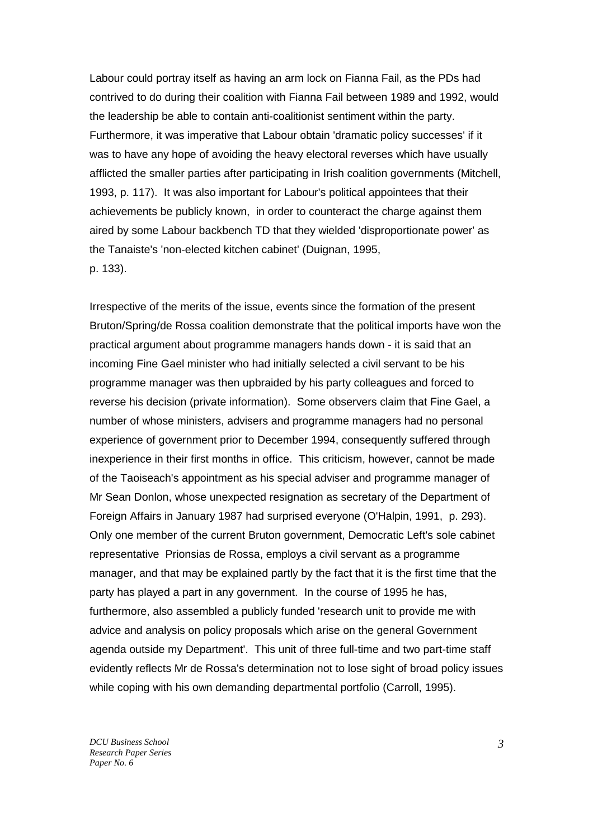Labour could portray itself as having an arm lock on Fianna Fail, as the PDs had contrived to do during their coalition with Fianna Fail between 1989 and 1992, would the leadership be able to contain anti-coalitionist sentiment within the party. Furthermore, it was imperative that Labour obtain 'dramatic policy successes' if it was to have any hope of avoiding the heavy electoral reverses which have usually afflicted the smaller parties after participating in Irish coalition governments (Mitchell, 1993, p. 117). It was also important for Labour's political appointees that their achievements be publicly known, in order to counteract the charge against them aired by some Labour backbench TD that they wielded 'disproportionate power' as the Tanaiste's 'non-elected kitchen cabinet' (Duignan, 1995, p. 133).

Irrespective of the merits of the issue, events since the formation of the present Bruton/Spring/de Rossa coalition demonstrate that the political imports have won the practical argument about programme managers hands down - it is said that an incoming Fine Gael minister who had initially selected a civil servant to be his programme manager was then upbraided by his party colleagues and forced to reverse his decision (private information). Some observers claim that Fine Gael, a number of whose ministers, advisers and programme managers had no personal experience of government prior to December 1994, consequently suffered through inexperience in their first months in office. This criticism, however, cannot be made of the Taoiseach's appointment as his special adviser and programme manager of Mr Sean Donlon, whose unexpected resignation as secretary of the Department of Foreign Affairs in January 1987 had surprised everyone (O'Halpin, 1991, p. 293). Only one member of the current Bruton government, Democratic Left's sole cabinet representative Prionsias de Rossa, employs a civil servant as a programme manager, and that may be explained partly by the fact that it is the first time that the party has played a part in any government. In the course of 1995 he has, furthermore, also assembled a publicly funded 'research unit to provide me with advice and analysis on policy proposals which arise on the general Government agenda outside my Department'. This unit of three full-time and two part-time staff evidently reflects Mr de Rossa's determination not to lose sight of broad policy issues while coping with his own demanding departmental portfolio (Carroll, 1995).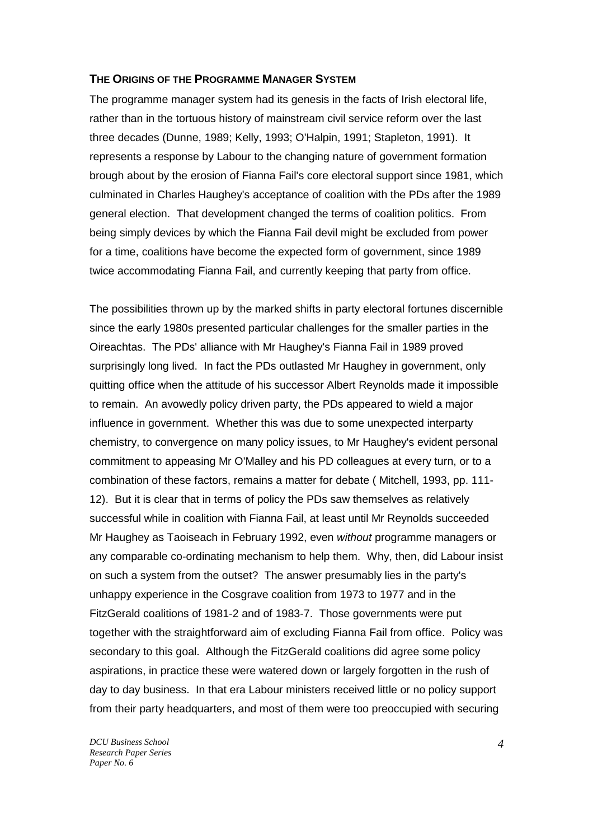#### **THE ORIGINS OF THE PROGRAMME MANAGER SYSTEM**

The programme manager system had its genesis in the facts of Irish electoral life, rather than in the tortuous history of mainstream civil service reform over the last three decades (Dunne, 1989; Kelly, 1993; O'Halpin, 1991; Stapleton, 1991). It represents a response by Labour to the changing nature of government formation brough about by the erosion of Fianna Fail's core electoral support since 1981, which culminated in Charles Haughey's acceptance of coalition with the PDs after the 1989 general election. That development changed the terms of coalition politics. From being simply devices by which the Fianna Fail devil might be excluded from power for a time, coalitions have become the expected form of government, since 1989 twice accommodating Fianna Fail, and currently keeping that party from office.

The possibilities thrown up by the marked shifts in party electoral fortunes discernible since the early 1980s presented particular challenges for the smaller parties in the Oireachtas. The PDs' alliance with Mr Haughey's Fianna Fail in 1989 proved surprisingly long lived. In fact the PDs outlasted Mr Haughey in government, only quitting office when the attitude of his successor Albert Reynolds made it impossible to remain. An avowedly policy driven party, the PDs appeared to wield a major influence in government. Whether this was due to some unexpected interparty chemistry, to convergence on many policy issues, to Mr Haughey's evident personal commitment to appeasing Mr O'Malley and his PD colleagues at every turn, or to a combination of these factors, remains a matter for debate ( Mitchell, 1993, pp. 111- 12). But it is clear that in terms of policy the PDs saw themselves as relatively successful while in coalition with Fianna Fail, at least until Mr Reynolds succeeded Mr Haughey as Taoiseach in February 1992, even without programme managers or any comparable co-ordinating mechanism to help them. Why, then, did Labour insist on such a system from the outset? The answer presumably lies in the party's unhappy experience in the Cosgrave coalition from 1973 to 1977 and in the FitzGerald coalitions of 1981-2 and of 1983-7. Those governments were put together with the straightforward aim of excluding Fianna Fail from office. Policy was secondary to this goal. Although the FitzGerald coalitions did agree some policy aspirations, in practice these were watered down or largely forgotten in the rush of day to day business. In that era Labour ministers received little or no policy support from their party headquarters, and most of them were too preoccupied with securing

*DCU Business School Research Paper Series Paper No. 6* 

*4*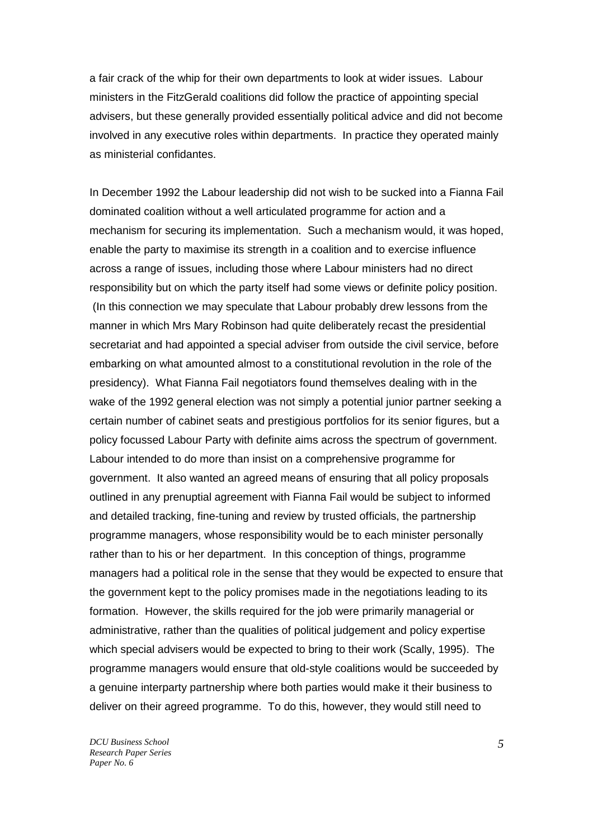a fair crack of the whip for their own departments to look at wider issues. Labour ministers in the FitzGerald coalitions did follow the practice of appointing special advisers, but these generally provided essentially political advice and did not become involved in any executive roles within departments. In practice they operated mainly as ministerial confidantes.

In December 1992 the Labour leadership did not wish to be sucked into a Fianna Fail dominated coalition without a well articulated programme for action and a mechanism for securing its implementation. Such a mechanism would, it was hoped, enable the party to maximise its strength in a coalition and to exercise influence across a range of issues, including those where Labour ministers had no direct responsibility but on which the party itself had some views or definite policy position. (In this connection we may speculate that Labour probably drew lessons from the manner in which Mrs Mary Robinson had quite deliberately recast the presidential secretariat and had appointed a special adviser from outside the civil service, before embarking on what amounted almost to a constitutional revolution in the role of the presidency). What Fianna Fail negotiators found themselves dealing with in the wake of the 1992 general election was not simply a potential junior partner seeking a certain number of cabinet seats and prestigious portfolios for its senior figures, but a policy focussed Labour Party with definite aims across the spectrum of government. Labour intended to do more than insist on a comprehensive programme for government. It also wanted an agreed means of ensuring that all policy proposals outlined in any prenuptial agreement with Fianna Fail would be subject to informed and detailed tracking, fine-tuning and review by trusted officials, the partnership programme managers, whose responsibility would be to each minister personally rather than to his or her department. In this conception of things, programme managers had a political role in the sense that they would be expected to ensure that the government kept to the policy promises made in the negotiations leading to its formation. However, the skills required for the job were primarily managerial or administrative, rather than the qualities of political judgement and policy expertise which special advisers would be expected to bring to their work (Scally, 1995). The programme managers would ensure that old-style coalitions would be succeeded by a genuine interparty partnership where both parties would make it their business to deliver on their agreed programme. To do this, however, they would still need to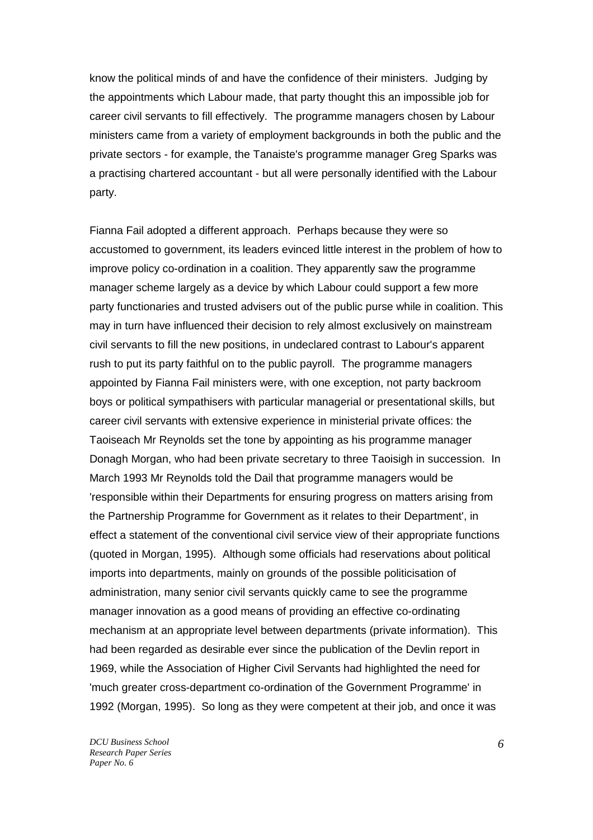know the political minds of and have the confidence of their ministers. Judging by the appointments which Labour made, that party thought this an impossible job for career civil servants to fill effectively. The programme managers chosen by Labour ministers came from a variety of employment backgrounds in both the public and the private sectors - for example, the Tanaiste's programme manager Greg Sparks was a practising chartered accountant - but all were personally identified with the Labour party.

Fianna Fail adopted a different approach. Perhaps because they were so accustomed to government, its leaders evinced little interest in the problem of how to improve policy co-ordination in a coalition. They apparently saw the programme manager scheme largely as a device by which Labour could support a few more party functionaries and trusted advisers out of the public purse while in coalition. This may in turn have influenced their decision to rely almost exclusively on mainstream civil servants to fill the new positions, in undeclared contrast to Labour's apparent rush to put its party faithful on to the public payroll. The programme managers appointed by Fianna Fail ministers were, with one exception, not party backroom boys or political sympathisers with particular managerial or presentational skills, but career civil servants with extensive experience in ministerial private offices: the Taoiseach Mr Reynolds set the tone by appointing as his programme manager Donagh Morgan, who had been private secretary to three Taoisigh in succession. In March 1993 Mr Reynolds told the Dail that programme managers would be 'responsible within their Departments for ensuring progress on matters arising from the Partnership Programme for Government as it relates to their Department', in effect a statement of the conventional civil service view of their appropriate functions (quoted in Morgan, 1995). Although some officials had reservations about political imports into departments, mainly on grounds of the possible politicisation of administration, many senior civil servants quickly came to see the programme manager innovation as a good means of providing an effective co-ordinating mechanism at an appropriate level between departments (private information). This had been regarded as desirable ever since the publication of the Devlin report in 1969, while the Association of Higher Civil Servants had highlighted the need for 'much greater cross-department co-ordination of the Government Programme' in 1992 (Morgan, 1995). So long as they were competent at their job, and once it was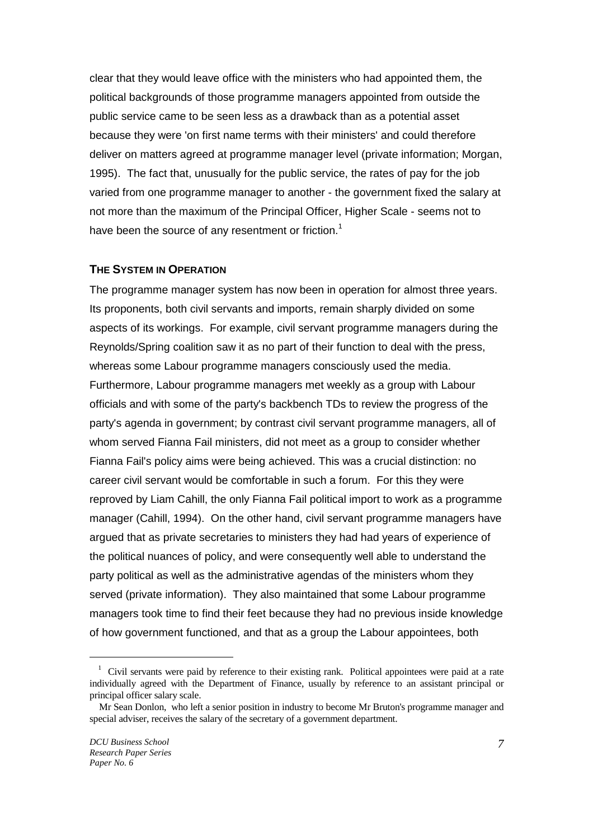clear that they would leave office with the ministers who had appointed them, the political backgrounds of those programme managers appointed from outside the public service came to be seen less as a drawback than as a potential asset because they were 'on first name terms with their ministers' and could therefore deliver on matters agreed at programme manager level (private information; Morgan, 1995). The fact that, unusually for the public service, the rates of pay for the job varied from one programme manager to another - the government fixed the salary at not more than the maximum of the Principal Officer, Higher Scale - seems not to have been the source of any resentment or friction.<sup>1</sup>

## **THE SYSTEM IN OPERATION**

The programme manager system has now been in operation for almost three years. Its proponents, both civil servants and imports, remain sharply divided on some aspects of its workings. For example, civil servant programme managers during the Reynolds/Spring coalition saw it as no part of their function to deal with the press, whereas some Labour programme managers consciously used the media. Furthermore, Labour programme managers met weekly as a group with Labour officials and with some of the party's backbench TDs to review the progress of the party's agenda in government; by contrast civil servant programme managers, all of whom served Fianna Fail ministers, did not meet as a group to consider whether Fianna Fail's policy aims were being achieved. This was a crucial distinction: no career civil servant would be comfortable in such a forum. For this they were reproved by Liam Cahill, the only Fianna Fail political import to work as a programme manager (Cahill, 1994). On the other hand, civil servant programme managers have argued that as private secretaries to ministers they had had years of experience of the political nuances of policy, and were consequently well able to understand the party political as well as the administrative agendas of the ministers whom they served (private information). They also maintained that some Labour programme managers took time to find their feet because they had no previous inside knowledge of how government functioned, and that as a group the Labour appointees, both

 $\overline{a}$ 

<sup>&</sup>lt;sup>1</sup> Civil servants were paid by reference to their existing rank. Political appointees were paid at a rate individually agreed with the Department of Finance, usually by reference to an assistant principal or principal officer salary scale.

Mr Sean Donlon, who left a senior position in industry to become Mr Bruton's programme manager and special adviser, receives the salary of the secretary of a government department.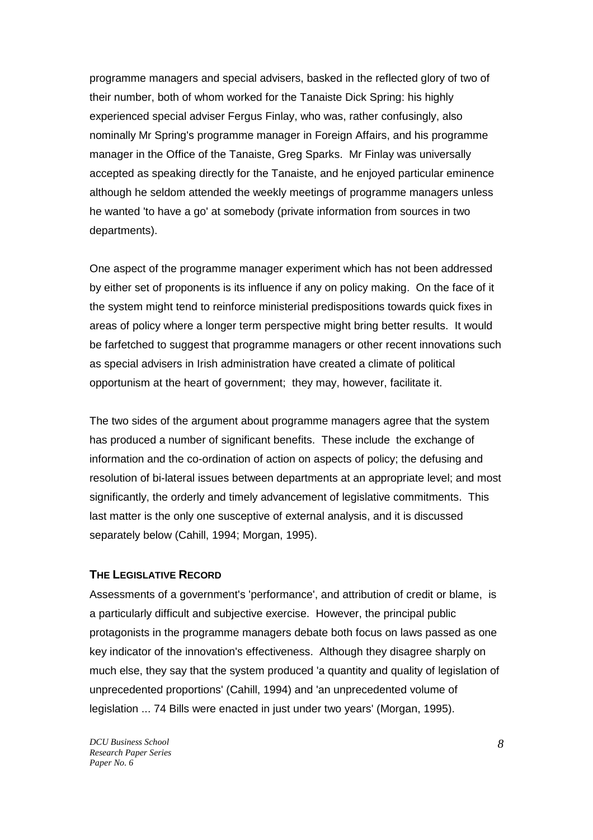programme managers and special advisers, basked in the reflected glory of two of their number, both of whom worked for the Tanaiste Dick Spring: his highly experienced special adviser Fergus Finlay, who was, rather confusingly, also nominally Mr Spring's programme manager in Foreign Affairs, and his programme manager in the Office of the Tanaiste, Greg Sparks. Mr Finlay was universally accepted as speaking directly for the Tanaiste, and he enjoyed particular eminence although he seldom attended the weekly meetings of programme managers unless he wanted 'to have a go' at somebody (private information from sources in two departments).

One aspect of the programme manager experiment which has not been addressed by either set of proponents is its influence if any on policy making. On the face of it the system might tend to reinforce ministerial predispositions towards quick fixes in areas of policy where a longer term perspective might bring better results. It would be farfetched to suggest that programme managers or other recent innovations such as special advisers in Irish administration have created a climate of political opportunism at the heart of government; they may, however, facilitate it.

The two sides of the argument about programme managers agree that the system has produced a number of significant benefits. These include the exchange of information and the co-ordination of action on aspects of policy; the defusing and resolution of bi-lateral issues between departments at an appropriate level; and most significantly, the orderly and timely advancement of legislative commitments. This last matter is the only one susceptive of external analysis, and it is discussed separately below (Cahill, 1994; Morgan, 1995).

#### **THE LEGISLATIVE RECORD**

Assessments of a government's 'performance', and attribution of credit or blame, is a particularly difficult and subjective exercise. However, the principal public protagonists in the programme managers debate both focus on laws passed as one key indicator of the innovation's effectiveness. Although they disagree sharply on much else, they say that the system produced 'a quantity and quality of legislation of unprecedented proportions' (Cahill, 1994) and 'an unprecedented volume of legislation ... 74 Bills were enacted in just under two years' (Morgan, 1995).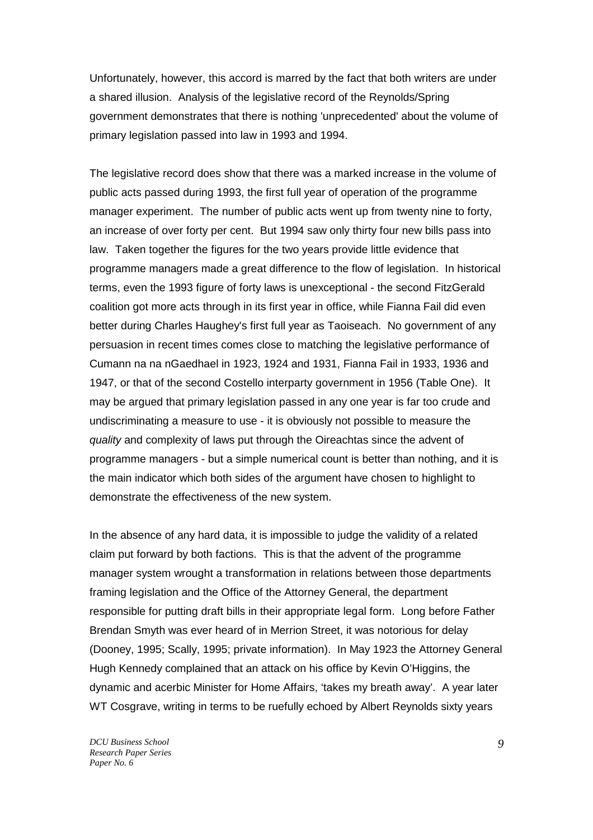Unfortunately, however, this accord is marred by the fact that both writers are under a shared illusion. Analysis of the legislative record of the Reynolds/Spring government demonstrates that there is nothing 'unprecedented' about the volume of primary legislation passed into law in 1993 and 1994.

The legislative record does show that there was a marked increase in the volume of public acts passed during 1993, the first full year of operation of the programme manager experiment. The number of public acts went up from twenty nine to forty, an increase of over forty per cent. But 1994 saw only thirty four new bills pass into law. Taken together the figures for the two years provide little evidence that programme managers made a great difference to the flow of legislation. In historical terms, even the 1993 figure of forty laws is unexceptional - the second FitzGerald coalition got more acts through in its first year in office, while Fianna Fail did even better during Charles Haughey's first full year as Taoiseach. No government of any persuasion in recent times comes close to matching the legislative performance of Cumann na na nGaedhael in 1923, 1924 and 1931, Fianna Fail in 1933, 1936 and 1947, or that of the second Costello interparty government in 1956 (Table One). It may be argued that primary legislation passed in any one year is far too crude and undiscriminating a measure to use - it is obviously not possible to measure the quality and complexity of laws put through the Oireachtas since the advent of programme managers - but a simple numerical count is better than nothing, and it is the main indicator which both sides of the argument have chosen to highlight to demonstrate the effectiveness of the new system.

In the absence of any hard data, it is impossible to judge the validity of a related claim put forward by both factions. This is that the advent of the programme manager system wrought a transformation in relations between those departments framing legislation and the Office of the Attorney General, the department responsible for putting draft bills in their appropriate legal form. Long before Father Brendan Smyth was ever heard of in Merrion Street, it was notorious for delay (Dooney, 1995; Scally, 1995; private information). In May 1923 the Attorney General Hugh Kennedy complained that an attack on his office by Kevin O'Higgins, the dynamic and acerbic Minister for Home Affairs, 'takes my breath away'. A year later WT Cosgrave, writing in terms to be ruefully echoed by Albert Reynolds sixty years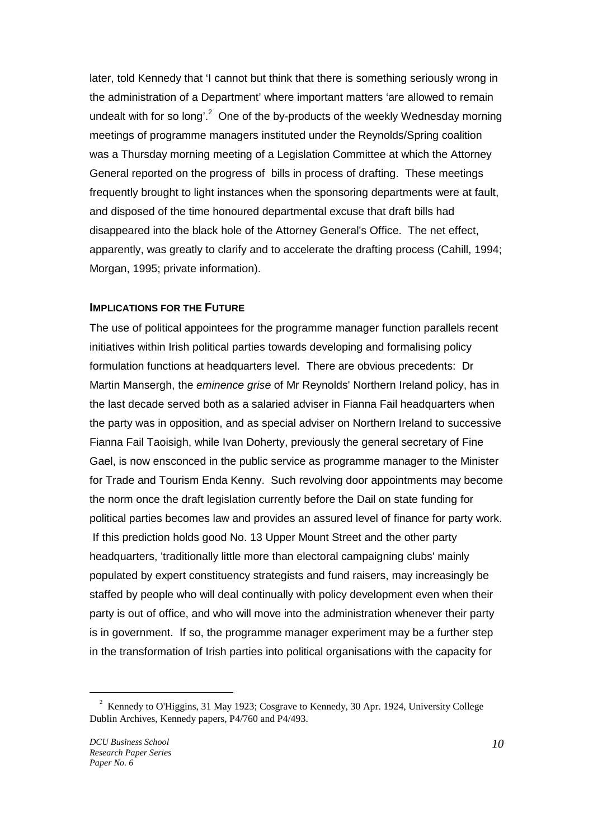later, told Kennedy that 'I cannot but think that there is something seriously wrong in the administration of a Department' where important matters 'are allowed to remain undealt with for so long'.<sup>2</sup> One of the by-products of the weekly Wednesday morning meetings of programme managers instituted under the Reynolds/Spring coalition was a Thursday morning meeting of a Legislation Committee at which the Attorney General reported on the progress of bills in process of drafting. These meetings frequently brought to light instances when the sponsoring departments were at fault, and disposed of the time honoured departmental excuse that draft bills had disappeared into the black hole of the Attorney General's Office. The net effect, apparently, was greatly to clarify and to accelerate the drafting process (Cahill, 1994; Morgan, 1995; private information).

#### **IMPLICATIONS FOR THE FUTURE**

The use of political appointees for the programme manager function parallels recent initiatives within Irish political parties towards developing and formalising policy formulation functions at headquarters level. There are obvious precedents: Dr Martin Mansergh, the eminence grise of Mr Reynolds' Northern Ireland policy, has in the last decade served both as a salaried adviser in Fianna Fail headquarters when the party was in opposition, and as special adviser on Northern Ireland to successive Fianna Fail Taoisigh, while Ivan Doherty, previously the general secretary of Fine Gael, is now ensconced in the public service as programme manager to the Minister for Trade and Tourism Enda Kenny. Such revolving door appointments may become the norm once the draft legislation currently before the Dail on state funding for political parties becomes law and provides an assured level of finance for party work. If this prediction holds good No. 13 Upper Mount Street and the other party headquarters, 'traditionally little more than electoral campaigning clubs' mainly populated by expert constituency strategists and fund raisers, may increasingly be staffed by people who will deal continually with policy development even when their party is out of office, and who will move into the administration whenever their party is in government. If so, the programme manager experiment may be a further step in the transformation of Irish parties into political organisations with the capacity for

 $\overline{a}$ 

 $2^{2}$  Kennedy to O'Higgins, 31 May 1923; Cosgrave to Kennedy, 30 Apr. 1924, University College Dublin Archives, Kennedy papers, P4/760 and P4/493.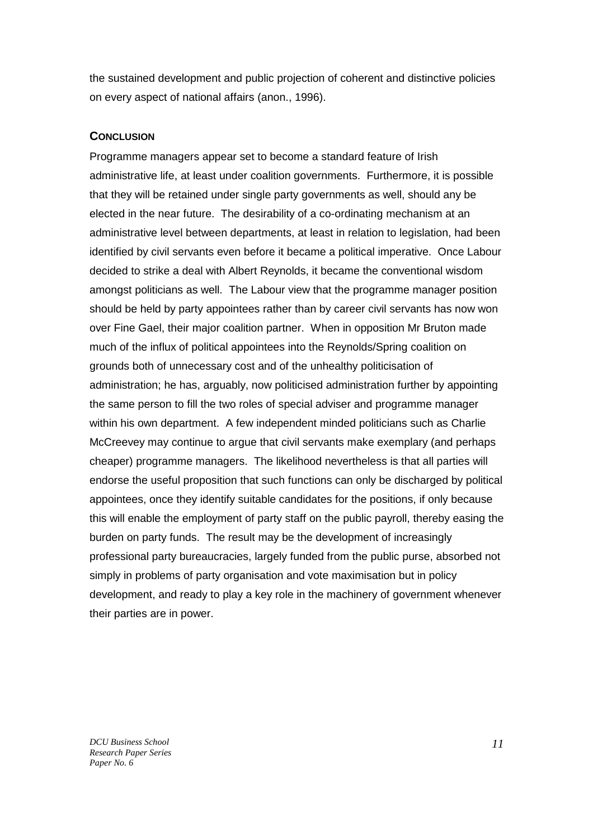the sustained development and public projection of coherent and distinctive policies on every aspect of national affairs (anon., 1996).

### **CONCLUSION**

Programme managers appear set to become a standard feature of Irish administrative life, at least under coalition governments. Furthermore, it is possible that they will be retained under single party governments as well, should any be elected in the near future. The desirability of a co-ordinating mechanism at an administrative level between departments, at least in relation to legislation, had been identified by civil servants even before it became a political imperative. Once Labour decided to strike a deal with Albert Reynolds, it became the conventional wisdom amongst politicians as well. The Labour view that the programme manager position should be held by party appointees rather than by career civil servants has now won over Fine Gael, their major coalition partner. When in opposition Mr Bruton made much of the influx of political appointees into the Reynolds/Spring coalition on grounds both of unnecessary cost and of the unhealthy politicisation of administration; he has, arguably, now politicised administration further by appointing the same person to fill the two roles of special adviser and programme manager within his own department. A few independent minded politicians such as Charlie McCreevey may continue to argue that civil servants make exemplary (and perhaps cheaper) programme managers. The likelihood nevertheless is that all parties will endorse the useful proposition that such functions can only be discharged by political appointees, once they identify suitable candidates for the positions, if only because this will enable the employment of party staff on the public payroll, thereby easing the burden on party funds. The result may be the development of increasingly professional party bureaucracies, largely funded from the public purse, absorbed not simply in problems of party organisation and vote maximisation but in policy development, and ready to play a key role in the machinery of government whenever their parties are in power.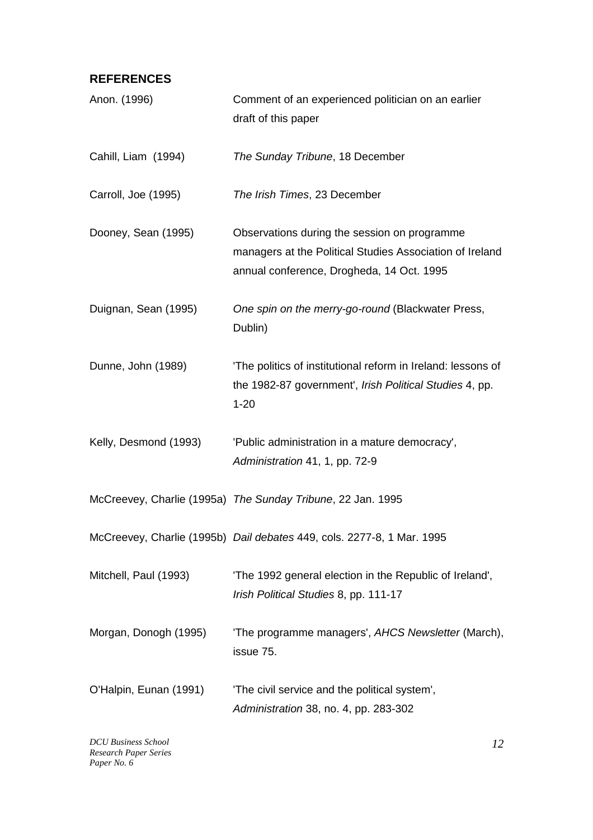# **REFERENCES**

| Anon. (1996)           | Comment of an experienced politician on an earlier<br>draft of this paper                                                                             |
|------------------------|-------------------------------------------------------------------------------------------------------------------------------------------------------|
| Cahill, Liam (1994)    | The Sunday Tribune, 18 December                                                                                                                       |
| Carroll, Joe (1995)    | The Irish Times, 23 December                                                                                                                          |
| Dooney, Sean (1995)    | Observations during the session on programme<br>managers at the Political Studies Association of Ireland<br>annual conference, Drogheda, 14 Oct. 1995 |
| Duignan, Sean (1995)   | One spin on the merry-go-round (Blackwater Press,<br>Dublin)                                                                                          |
| Dunne, John (1989)     | 'The politics of institutional reform in Ireland: lessons of<br>the 1982-87 government', Irish Political Studies 4, pp.<br>$1 - 20$                   |
| Kelly, Desmond (1993)  | 'Public administration in a mature democracy',<br>Administration 41, 1, pp. 72-9                                                                      |
|                        | McCreevey, Charlie (1995a) The Sunday Tribune, 22 Jan. 1995                                                                                           |
|                        | McCreevey, Charlie (1995b) Dail debates 449, cols. 2277-8, 1 Mar. 1995                                                                                |
| Mitchell, Paul (1993)  | 'The 1992 general election in the Republic of Ireland',<br>Irish Political Studies 8, pp. 111-17                                                      |
| Morgan, Donogh (1995)  | 'The programme managers', AHCS Newsletter (March),<br>issue 75.                                                                                       |
| O'Halpin, Eunan (1991) | 'The civil service and the political system',<br>Administration 38, no. 4, pp. 283-302                                                                |